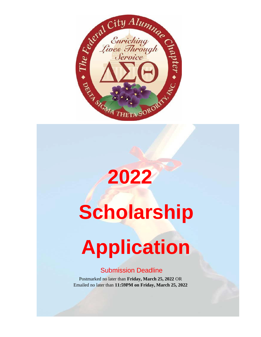

# **Scholarship**

**2022**

## **Application**

#### Submission Deadline

Postmarked no later than **Friday, March 25, 2022** OR Emailed no later than **11:59PM on Friday, March 25, 2022**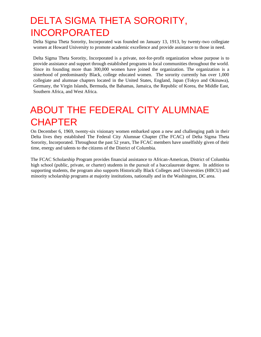#### DELTA SIGMA THETA SORORITY, INCORPORATED

Delta Sigma Theta Sorority, Incorporated was founded on January 13, 1913, by twenty-two collegiate women at Howard University to promote academic excellence and provide assistance to those in need.

Delta Sigma Theta Sorority, Incorporated is a private, not-for-profit organization whose purpose is to provide assistance and support through established programs in local communities throughout the world. Since its founding more than 300,000 women have joined the organization. The organization is a sisterhood of predominantly Black, college educated women. The sorority currently has over 1,000 collegiate and alumnae chapters located in the United States, England, Japan (Tokyo and Okinawa), Germany, the Virgin Islands, Bermuda, the Bahamas, Jamaica, the Republic of Korea, the Middle East, Southern Africa, and West Africa.

#### ABOUT THE FEDERAL CITY ALUMNAE **CHAPTER**

On December 6, 1969, twenty-six visionary women embarked upon a new and challenging path in their Delta lives they established The Federal City Alumnae Chapter (The FCAC) of Delta Sigma Theta Sorority, Incorporated. Throughout the past 52 years, The FCAC members have unselfishly given of their time, energy and talents to the citizens of the District of Columbia.

The FCAC Scholarship Program provides financial assistance to African-American, District of Columbia high school (public, private, or charter) students in the pursuit of a baccalaureate degree. In addition to supporting students, the program also supports Historically Black Colleges and Universities (HBCU) and minority scholarship programs at majority institutions, nationally and in the Washington, DC area.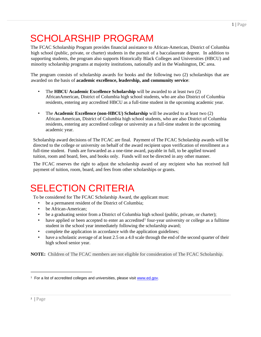## SCHOLARSHIP PROGRAM

The FCAC Scholarship Program provides financial assistance to African-American, District of Columbia high school (public, private, or charter) students in the pursuit of a baccalaureate degree. In addition to supporting students, the program also supports Historically Black Colleges and Universities (HBCU) and minority scholarship programs at majority institutions, nationally and in the Washington, DC area.

The program consists of scholarship awards for books and the following two (2) scholarships that are awarded on the basis of **academic excellence, leadership, and community service**:

- The **HBCU Academic Excellence Scholarship** will be awarded to at least two (2) AfricanAmerican, District of Columbia high school students, who are also District of Columbia residents, entering any accredited HBCU as a full-time student in the upcoming academic year.
- The **Academic Excellence (non-HBCU) Scholarship** will be awarded to at least two (2) African-American, District of Columbia high school students, who are also District of Columbia residents, entering any accredited college or university as a full-time student in the upcoming academic year.

Scholarship award decisions of The FCAC are final. Payment of The FCAC Scholarship awards will be directed to the college or university on behalf of the award recipient upon verification of enrollment as a full-time student. Funds are forwarded as a one-time award, payable in full, to be applied toward tuition, room and board, fees, and books only. Funds will not be directed in any other manner.

The FCAC reserves the right to adjust the scholarship award of any recipient who has received full payment of tuition, room, board, and fees from other scholarships or grants.

## SELECTION CRITERIA

To be considered for The FCAC Scholarship Award, the applicant must:

- be a permanent resident of the District of Columbia;
- be African-American:
- be a graduating senior from a District of Columbia high school (public, private, or charter);
- have applied or been accepted to enter an accredited<sup>1</sup> four-year university or college as a fulltime student in the school year immediately following the scholarship award;
- complete the application in accordance with the application guidelines;
- have a scholastic average of at least 2.5 on a 4.0 scale through the end of the second quarter of their high school senior year.

**NOTE:** Children of The FCAC members are not eligible for consideration of The FCAC Scholarship.

<sup>&</sup>lt;sup>1</sup> For a list of accredited colleges and universities, please visit [www.ed.gov.](http://www.ed.gov/)